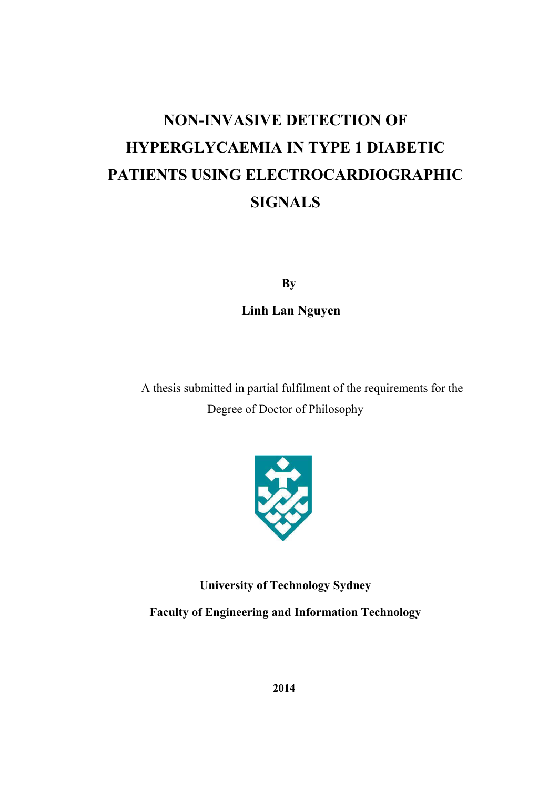## **NON-INVASIVE DETECTION OF HYPERGLYCAEMIA IN TYPE 1 DIABETIC PATIENTS USING ELECTROCARDIOGRAPHIC SIGNALS**

 **By** 

 **Linh Lan Nguyen** 

A thesis submitted in partial fulfilment of the requirements for the Degree of Doctor of Philosophy



**University of Technology Sydney Faculty of Engineering and Information Technology**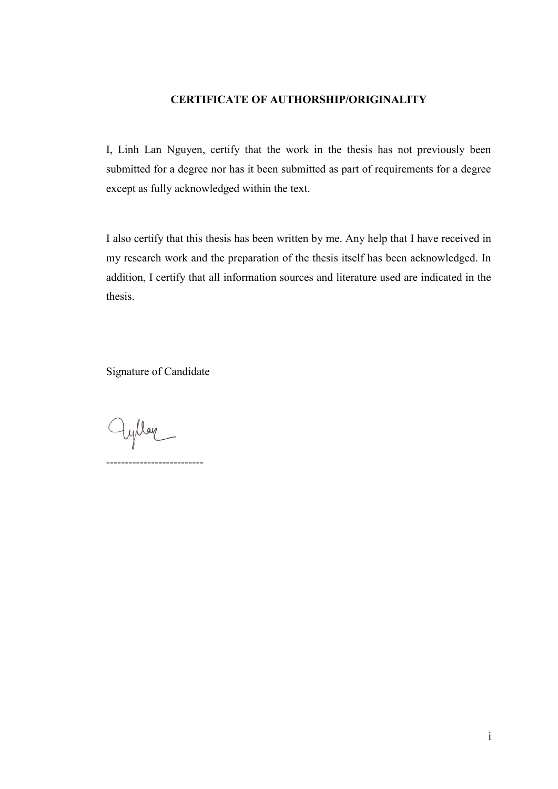#### **CERTIFICATE OF AUTHORSHIP/ORIGINALITY**

I, Linh Lan Nguyen, certify that the work in the thesis has not previously been submitted for a degree nor has it been submitted as part of requirements for a degree except as fully acknowledged within the text.

I also certify that this thesis has been written by me. Any help that I have received in my research work and the preparation of the thesis itself has been acknowledged. In addition, I certify that all information sources and literature used are indicated in the thesis.

Signature of Candidate

--------------------------

ayllar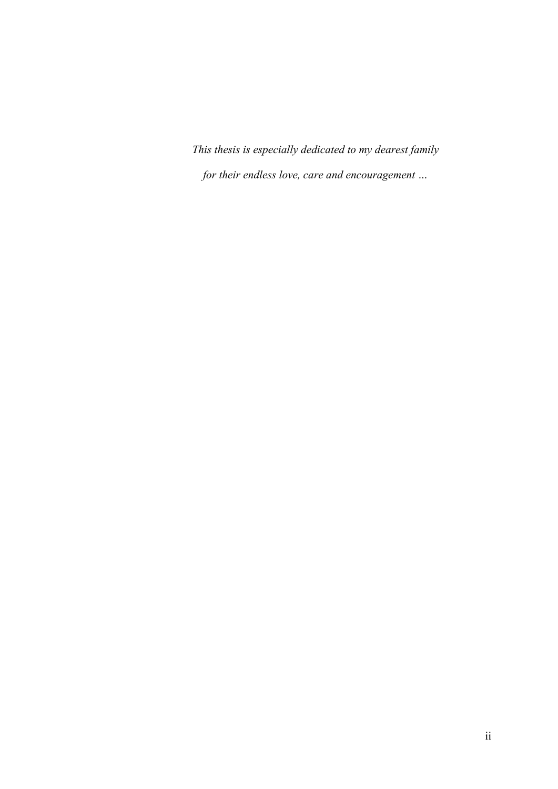*This thesis is especially dedicated to my dearest family for their endless love, care and encouragement …*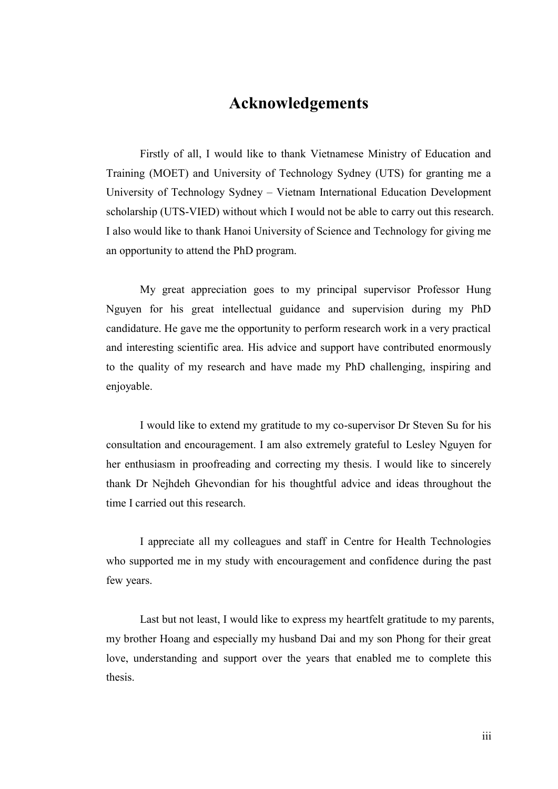#### **Acknowledgements**

Firstly of all, I would like to thank Vietnamese Ministry of Education and Training (MOET) and University of Technology Sydney (UTS) for granting me a University of Technology Sydney – Vietnam International Education Development scholarship (UTS-VIED) without which I would not be able to carry out this research. I also would like to thank Hanoi University of Science and Technology for giving me an opportunity to attend the PhD program.

My great appreciation goes to my principal supervisor Professor Hung Nguyen for his great intellectual guidance and supervision during my PhD candidature. He gave me the opportunity to perform research work in a very practical and interesting scientific area. His advice and support have contributed enormously to the quality of my research and have made my PhD challenging, inspiring and enjoyable.

I would like to extend my gratitude to my co-supervisor Dr Steven Su for his consultation and encouragement. I am also extremely grateful to Lesley Nguyen for her enthusiasm in proofreading and correcting my thesis. I would like to sincerely thank Dr Nejhdeh Ghevondian for his thoughtful advice and ideas throughout the time I carried out this research.

I appreciate all my colleagues and staff in Centre for Health Technologies who supported me in my study with encouragement and confidence during the past few years.

Last but not least, I would like to express my heartfelt gratitude to my parents, my brother Hoang and especially my husband Dai and my son Phong for their great love, understanding and support over the years that enabled me to complete this thesis.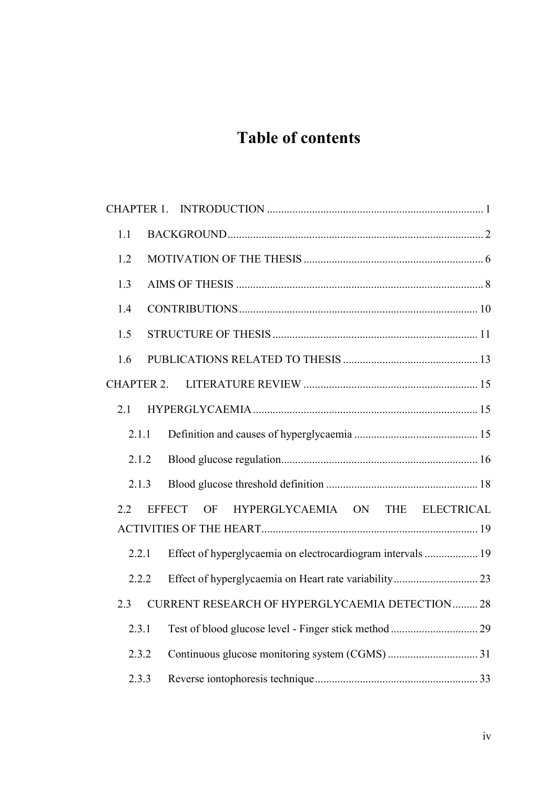### **Table of contents**

| 1.1               |                                                             |  |
|-------------------|-------------------------------------------------------------|--|
| 1.2               |                                                             |  |
| 1.3               |                                                             |  |
| 1.4               |                                                             |  |
| 1.5               |                                                             |  |
| 1.6               |                                                             |  |
| <b>CHAPTER 2.</b> |                                                             |  |
| 2.1               |                                                             |  |
| 2.1.1             |                                                             |  |
| 2.1.2             |                                                             |  |
| 2.1.3             |                                                             |  |
| $2.2^{\circ}$     | HYPERGLYCAEMIA ON THE ELECTRICAL<br>EFFECT OF               |  |
| 2.2.1             | Effect of hyperglycaemia on electrocardiogram intervals  19 |  |
| 2.2.2             |                                                             |  |
| 2.3               | CURRENT RESEARCH OF HYPERGLYCAEMIA DETECTION  28            |  |
| 2.3.1             |                                                             |  |
| 2.3.2             |                                                             |  |
| 2.3.3             |                                                             |  |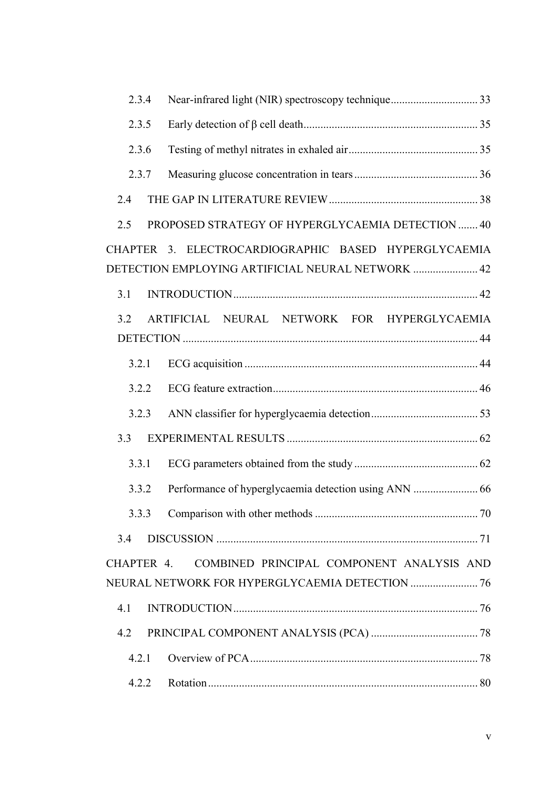| 2.3.4 |                                                                                                           |  |
|-------|-----------------------------------------------------------------------------------------------------------|--|
| 2.3.5 |                                                                                                           |  |
| 2.3.6 |                                                                                                           |  |
| 2.3.7 |                                                                                                           |  |
| 2.4   |                                                                                                           |  |
| 2.5   | PROPOSED STRATEGY OF HYPERGLYCAEMIA DETECTION  40                                                         |  |
|       | CHAPTER 3. ELECTROCARDIOGRAPHIC BASED HYPERGLYCAEMIA<br>DETECTION EMPLOYING ARTIFICIAL NEURAL NETWORK  42 |  |
| 3.1   |                                                                                                           |  |
| 3.2   | ARTIFICIAL NEURAL NETWORK FOR HYPERGLYCAEMIA                                                              |  |
| 3.2.1 |                                                                                                           |  |
| 3.2.2 |                                                                                                           |  |
| 3.2.3 |                                                                                                           |  |
| 3.3   |                                                                                                           |  |
| 3.3.1 |                                                                                                           |  |
| 3.3.2 |                                                                                                           |  |
|       |                                                                                                           |  |
| 3.4   |                                                                                                           |  |
|       | CHAPTER 4. COMBINED PRINCIPAL COMPONENT ANALYSIS AND                                                      |  |
|       |                                                                                                           |  |
| 4.1   |                                                                                                           |  |
| 4.2   |                                                                                                           |  |
| 4.2.1 |                                                                                                           |  |
| 4.2.2 |                                                                                                           |  |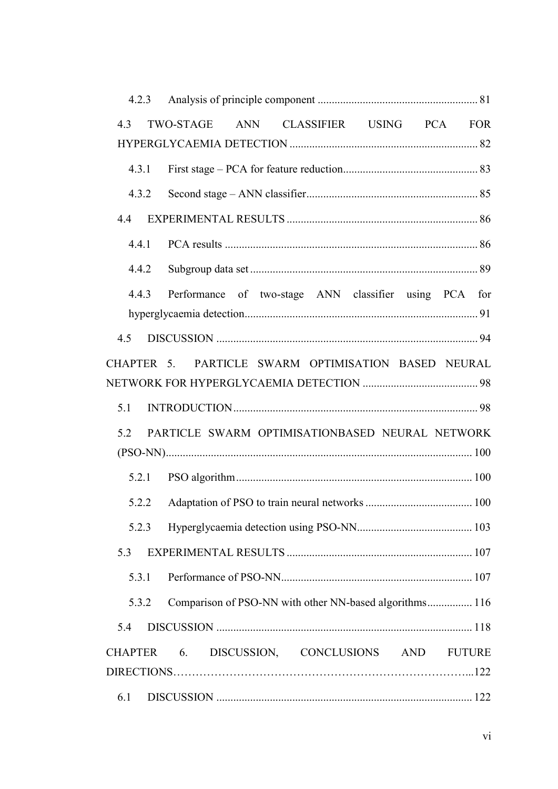| 4.3   | TWO-STAGE ANN CLASSIFIER USING PCA FOR                  |
|-------|---------------------------------------------------------|
|       |                                                         |
| 4.3.1 |                                                         |
| 4.3.2 |                                                         |
|       |                                                         |
|       |                                                         |
| 4.4.2 |                                                         |
| 4.4.3 | Performance of two-stage ANN classifier using PCA for   |
|       |                                                         |
| 4.5   |                                                         |
|       | CHAPTER 5. PARTICLE SWARM OPTIMISATION BASED NEURAL     |
|       |                                                         |
| 5.1   |                                                         |
| 5.2   | PARTICLE SWARM OPTIMISATIONBASED NEURAL NETWORK         |
|       |                                                         |
|       |                                                         |
| 5.2.2 |                                                         |
| 5.2.3 |                                                         |
| 5.3   |                                                         |
| 5.3.1 |                                                         |
| 5.3.2 | Comparison of PSO-NN with other NN-based algorithms 116 |
| 5.4   |                                                         |
|       | CHAPTER 6. DISCUSSION, CONCLUSIONS AND FUTURE           |
|       |                                                         |
| 6.1   |                                                         |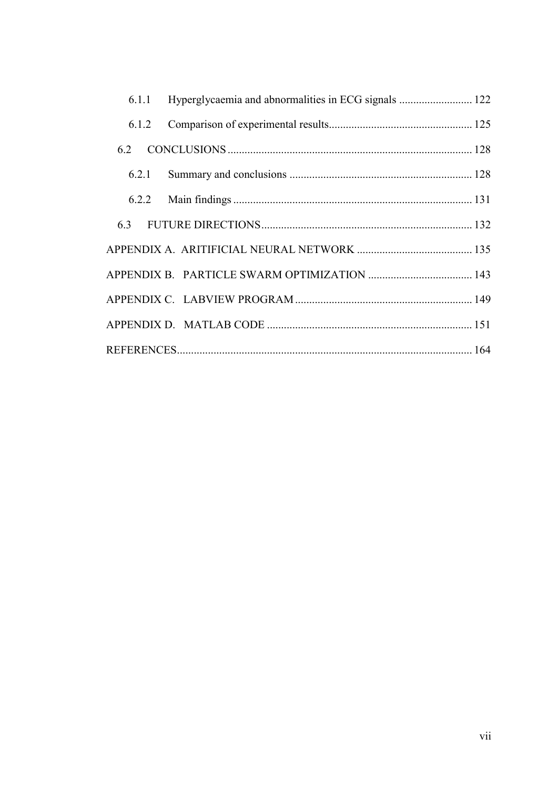| 6.1.1 |  |
|-------|--|
| 6.1.2 |  |
| 6.2   |  |
| 6.2.1 |  |
|       |  |
|       |  |
|       |  |
|       |  |
|       |  |
|       |  |
|       |  |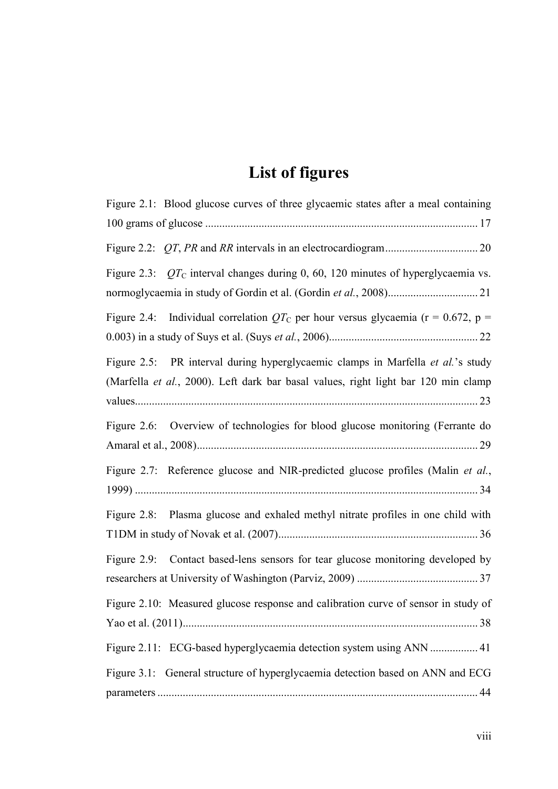### **List of figures**

| Figure 2.1: Blood glucose curves of three glycaemic states after a meal containing                                                                                    |
|-----------------------------------------------------------------------------------------------------------------------------------------------------------------------|
|                                                                                                                                                                       |
| Figure 2.3: $QTC$ interval changes during 0, 60, 120 minutes of hyperglycaemia vs.                                                                                    |
| Figure 2.4: Individual correlation $QT_{\rm C}$ per hour versus glycaemia (r = 0.672, p =                                                                             |
| Figure 2.5: PR interval during hyperglycaemic clamps in Marfella et al.'s study<br>(Marfella et al., 2000). Left dark bar basal values, right light bar 120 min clamp |
| Figure 2.6: Overview of technologies for blood glucose monitoring (Ferrante do                                                                                        |
| Figure 2.7: Reference glucose and NIR-predicted glucose profiles (Malin et al.,                                                                                       |
| Plasma glucose and exhaled methyl nitrate profiles in one child with<br>Figure $2.8$ :                                                                                |
| Contact based-lens sensors for tear glucose monitoring developed by<br>Figure $2.9$ :                                                                                 |
| Figure 2.10: Measured glucose response and calibration curve of sensor in study of                                                                                    |
| Figure 2.11: ECG-based hyperglycaemia detection system using ANN  41                                                                                                  |
| Figure 3.1: General structure of hyperglycaemia detection based on ANN and ECG<br>44                                                                                  |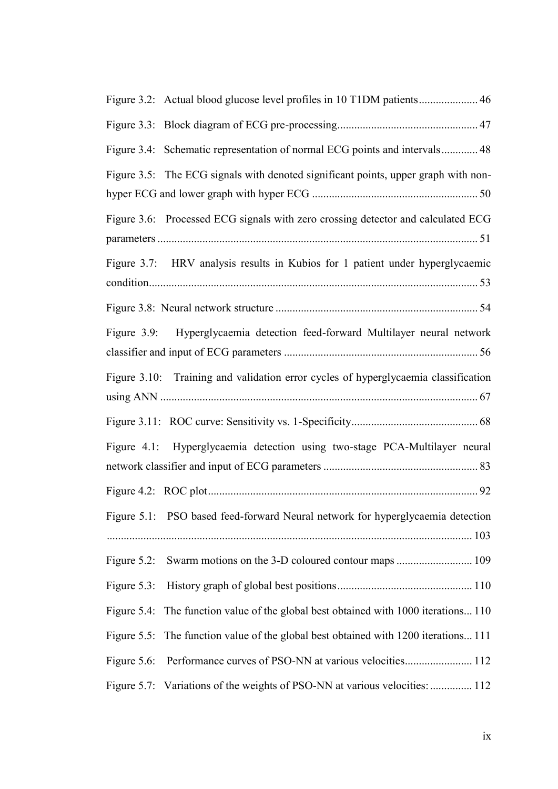| Figure 3.4: Schematic representation of normal ECG points and intervals 48          |
|-------------------------------------------------------------------------------------|
| Figure 3.5: The ECG signals with denoted significant points, upper graph with non-  |
| Figure 3.6: Processed ECG signals with zero crossing detector and calculated ECG    |
| Figure 3.7: HRV analysis results in Kubios for 1 patient under hyperglycaemic       |
|                                                                                     |
| Figure 3.9: Hyperglycaemia detection feed-forward Multilayer neural network         |
| Figure 3.10: Training and validation error cycles of hyperglycaemia classification  |
|                                                                                     |
| Figure 4.1: Hyperglycaemia detection using two-stage PCA-Multilayer neural          |
|                                                                                     |
| Figure 5.1: PSO based feed-forward Neural network for hyperglycaemia detection      |
| Swarm motions on the 3-D coloured contour maps  109<br>Figure $5.2$ :               |
| Figure 5.3:                                                                         |
| Figure 5.4: The function value of the global best obtained with 1000 iterations110  |
| Figure 5.5: The function value of the global best obtained with 1200 iterations 111 |
|                                                                                     |
| Figure 5.7: Variations of the weights of PSO-NN at various velocities:  112         |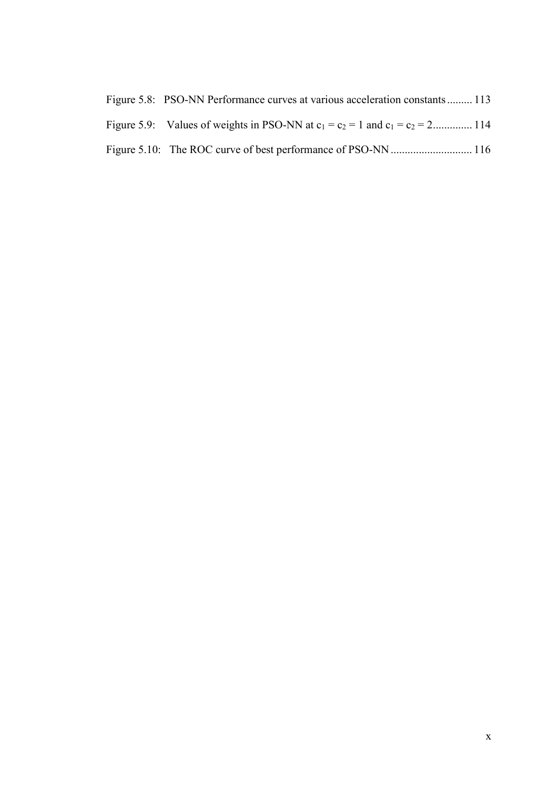| Figure 5.8: PSO-NN Performance curves at various acceleration constants 113        |  |
|------------------------------------------------------------------------------------|--|
| Figure 5.9: Values of weights in PSO-NN at $c_1 = c_2 = 1$ and $c_1 = c_2 = 2$ 114 |  |
|                                                                                    |  |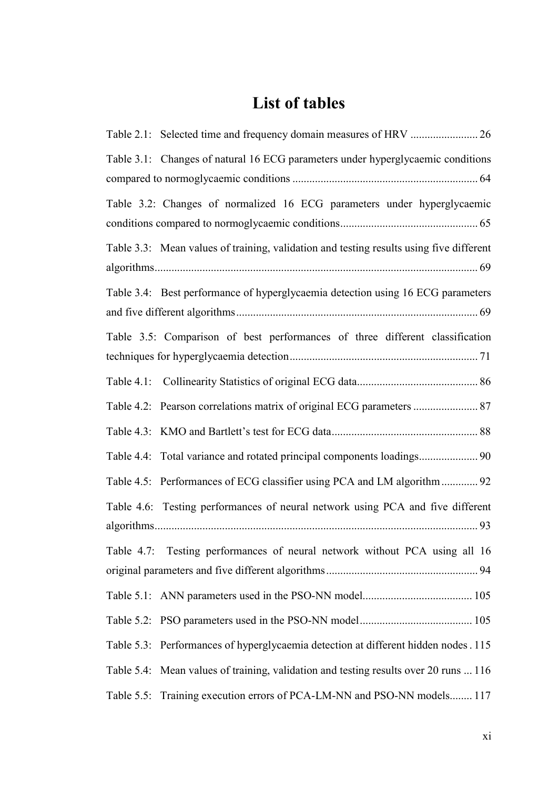## **List of tables**

| Table 3.1: Changes of natural 16 ECG parameters under hyperglycaemic conditions         |
|-----------------------------------------------------------------------------------------|
| Table 3.2: Changes of normalized 16 ECG parameters under hyperglycaemic                 |
| Table 3.3: Mean values of training, validation and testing results using five different |
| Table 3.4: Best performance of hyperglycaemia detection using 16 ECG parameters         |
| Table 3.5: Comparison of best performances of three different classification            |
|                                                                                         |
| Table 4.2: Pearson correlations matrix of original ECG parameters  87                   |
|                                                                                         |
|                                                                                         |
| Table 4.5: Performances of ECG classifier using PCA and LM algorithm  92                |
| Table 4.6: Testing performances of neural network using PCA and five different          |
| Table 4.7: Testing performances of neural network without PCA using all 16              |
|                                                                                         |
|                                                                                         |
| Table 5.3: Performances of hyperglycaemia detection at different hidden nodes . 115     |
| Table 5.4: Mean values of training, validation and testing results over 20 runs  116    |
| Table 5.5: Training execution errors of PCA-LM-NN and PSO-NN models 117                 |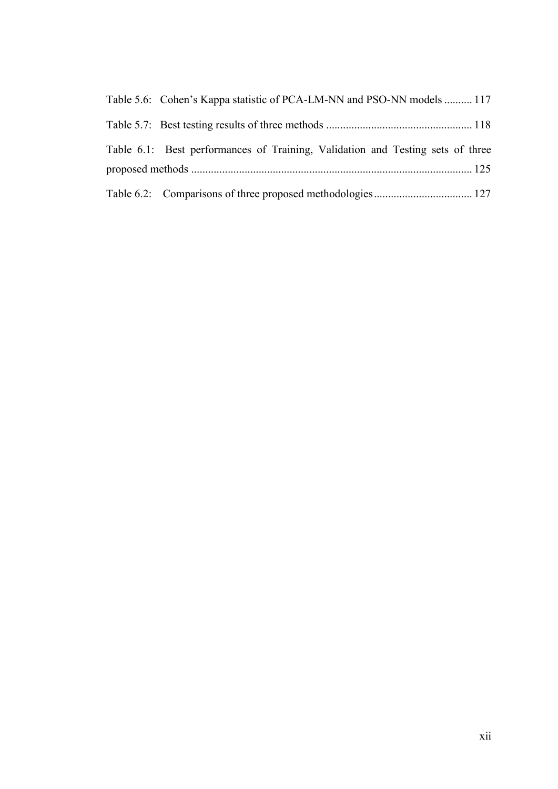|  | Table 5.6: Cohen's Kappa statistic of PCA-LM-NN and PSO-NN models  117         |  |
|--|--------------------------------------------------------------------------------|--|
|  |                                                                                |  |
|  | Table 6.1: Best performances of Training, Validation and Testing sets of three |  |
|  |                                                                                |  |
|  |                                                                                |  |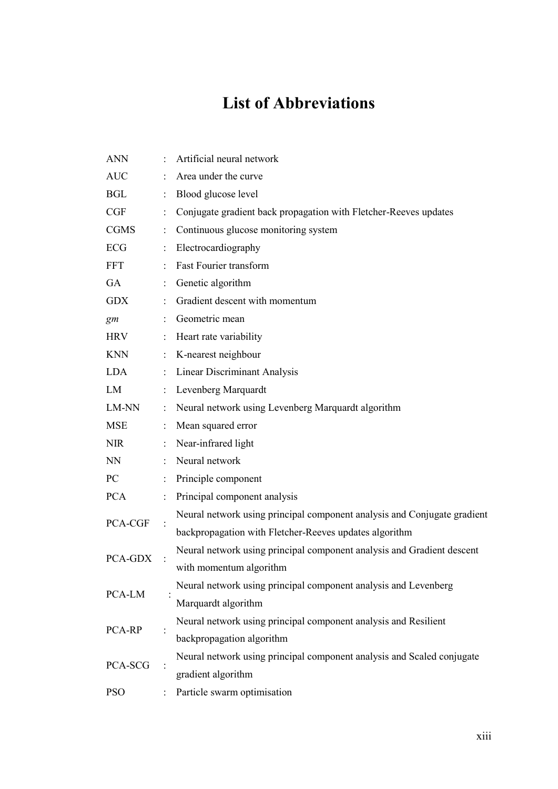### **List of Abbreviations**

|  | <b>ANN</b>  |                | Artificial neural network                                                |
|--|-------------|----------------|--------------------------------------------------------------------------|
|  | <b>AUC</b>  |                | Area under the curve                                                     |
|  | <b>BGL</b>  | $\ddot{\cdot}$ | Blood glucose level                                                      |
|  | CGF         |                | Conjugate gradient back propagation with Fletcher-Reeves updates         |
|  | <b>CGMS</b> | ÷              | Continuous glucose monitoring system                                     |
|  | <b>ECG</b>  | ÷              | Electrocardiography                                                      |
|  | <b>FFT</b>  |                | <b>Fast Fourier transform</b>                                            |
|  | GA          |                | Genetic algorithm                                                        |
|  | <b>GDX</b>  |                | Gradient descent with momentum                                           |
|  | gm          |                | Geometric mean                                                           |
|  | <b>HRV</b>  |                | Heart rate variability                                                   |
|  | <b>KNN</b>  | $\ddot{\cdot}$ | K-nearest neighbour                                                      |
|  | LDA         | $\ddot{\cdot}$ | <b>Linear Discriminant Analysis</b>                                      |
|  | LM          |                | Levenberg Marquardt                                                      |
|  | LM-NN       | $\ddot{\cdot}$ | Neural network using Levenberg Marquardt algorithm                       |
|  | <b>MSE</b>  | ÷.             | Mean squared error                                                       |
|  | <b>NIR</b>  | ÷              | Near-infrared light                                                      |
|  | <b>NN</b>   |                | Neural network                                                           |
|  | PC          |                | Principle component                                                      |
|  | <b>PCA</b>  | ÷              | Principal component analysis                                             |
|  |             |                | Neural network using principal component analysis and Conjugate gradient |
|  | PCA-CGF     |                | backpropagation with Fletcher-Reeves updates algorithm                   |
|  | PCA-GDX     |                | Neural network using principal component analysis and Gradient descent   |
|  |             |                | with momentum algorithm                                                  |
|  | PCA-LM      |                | Neural network using principal component analysis and Levenberg          |
|  |             |                | Marquardt algorithm                                                      |
|  |             |                | Neural network using principal component analysis and Resilient          |
|  | PCA-RP      |                | backpropagation algorithm                                                |
|  |             |                | Neural network using principal component analysis and Scaled conjugate   |
|  | PCA-SCG     |                | gradient algorithm                                                       |
|  | <b>PSO</b>  |                | Particle swarm optimisation                                              |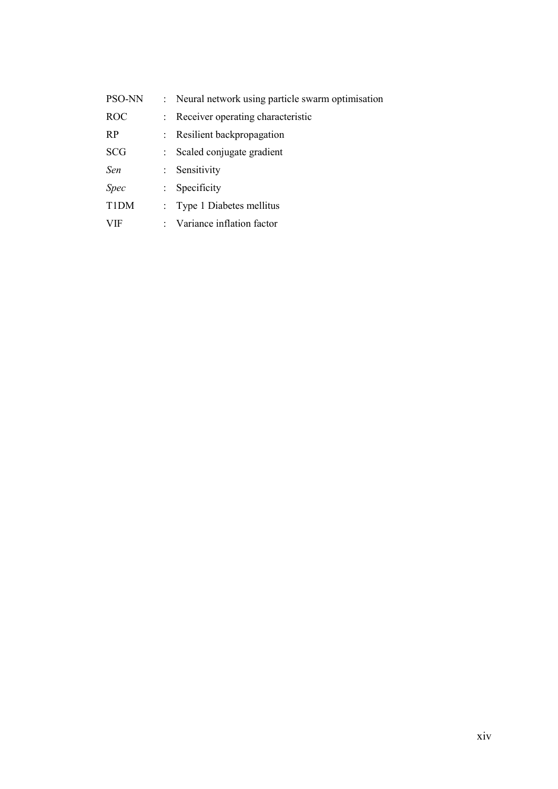| PSO-NN            |    | : Neural network using particle swarm optimisation |
|-------------------|----|----------------------------------------------------|
| <b>ROC</b>        |    | Receiver operating characteristic                  |
| <b>RP</b>         |    | : Resilient backpropagation                        |
| <b>SCG</b>        |    | Scaled conjugate gradient                          |
| Sen               |    | : Sensitivity                                      |
| <i>Spec</i>       |    | Specificity                                        |
| T <sub>1</sub> DM | ÷. | Type 1 Diabetes mellitus                           |
| VIF               |    | : Variance inflation factor                        |
|                   |    |                                                    |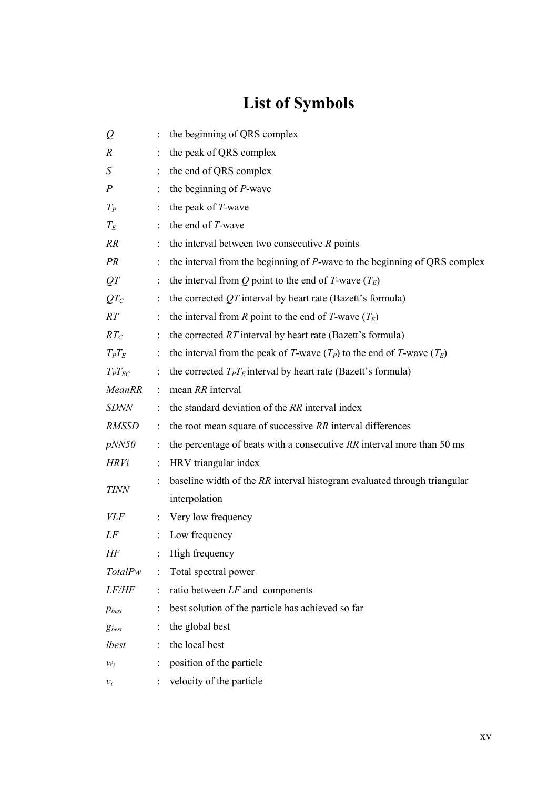# **List of Symbols**

| Q                | ÷                          | the beginning of QRS complex                                                 |
|------------------|----------------------------|------------------------------------------------------------------------------|
| $\boldsymbol{R}$ |                            | the peak of QRS complex                                                      |
| S                |                            | the end of QRS complex                                                       |
| $\boldsymbol{P}$ | $\ddot{\phantom{a}}$       | the beginning of P-wave                                                      |
| $T_P$            | $\mathbb{D}^{\mathbb{N}}$  | the peak of T-wave                                                           |
| $T_E$            |                            | the end of T-wave                                                            |
| <i>RR</i>        |                            | the interval between two consecutive $R$ points                              |
| PR               | $\ddot{\cdot}$             | the interval from the beginning of $P$ -wave to the beginning of QRS complex |
| QT               | $\ddot{\ddot{\phantom{}}}$ | the interval from Q point to the end of T-wave $(T_E)$                       |
| QT <sub>C</sub>  | ÷                          | the corrected $QT$ interval by heart rate (Bazett's formula)                 |
| RT               | ÷                          | the interval from R point to the end of T-wave $(T_E)$                       |
| $RT_C$           | $\ddot{\cdot}$             | the corrected $RT$ interval by heart rate (Bazett's formula)                 |
| $T_P T_E$        | $\mathbb{Z}^{\mathbb{Z}}$  | the interval from the peak of T-wave $(T_P)$ to the end of T-wave $(T_E)$    |
| $T_P T_{EC}$     | $\ddot{\cdot}$             | the corrected $T_P T_E$ interval by heart rate (Bazett's formula)            |
| <b>MeanRR</b>    | $\mathbb{R}^n$             | mean RR interval                                                             |
| <b>SDNN</b>      | $\ddot{\cdot}$             | the standard deviation of the RR interval index                              |
| <b>RMSSD</b>     | $\ddot{\ddot{}}$           | the root mean square of successive RR interval differences                   |
| pNN50            |                            | the percentage of beats with a consecutive $RR$ interval more than 50 ms     |
| HRVi             | ÷                          | HRV triangular index                                                         |
|                  |                            | baseline width of the RR interval histogram evaluated through triangular     |
| <b>TINN</b>      |                            | interpolation                                                                |
| <i>VLF</i>       | $\ddot{\phantom{a}}$       | Very low frequency                                                           |
| LF               | $\ddot{\cdot}$             | Low frequency                                                                |
| HF               |                            | High frequency                                                               |
| <b>TotalPw</b>   | ÷                          | Total spectral power                                                         |
| LF/HF            | $\ddot{\phantom{a}}$       | ratio between $LF$ and components                                            |
| $p_{best}$       |                            | best solution of the particle has achieved so far                            |
| $g_{best}$       |                            | the global best                                                              |
| lbest            | ÷                          | the local best                                                               |
| $W_i$            |                            | position of the particle                                                     |
| $v_i$            |                            | velocity of the particle                                                     |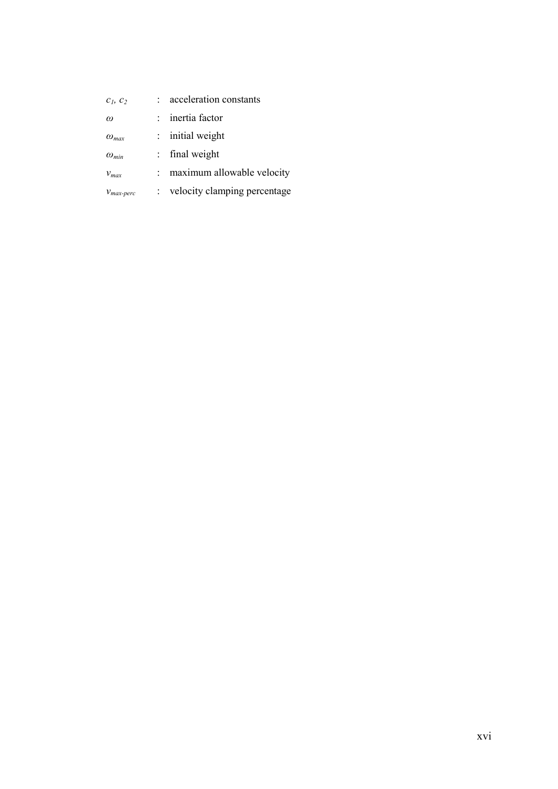| $c_1$ , $c_2$         | acceleration constants       |
|-----------------------|------------------------------|
| $\omega$              | inertia factor               |
| $\omega_{max}$        | $:$ initial weight           |
| $\omega_{min}$        | final weight                 |
| $v_{max}$             | maximum allowable velocity   |
| $V_{max\text{-}perc}$ | velocity clamping percentage |
|                       |                              |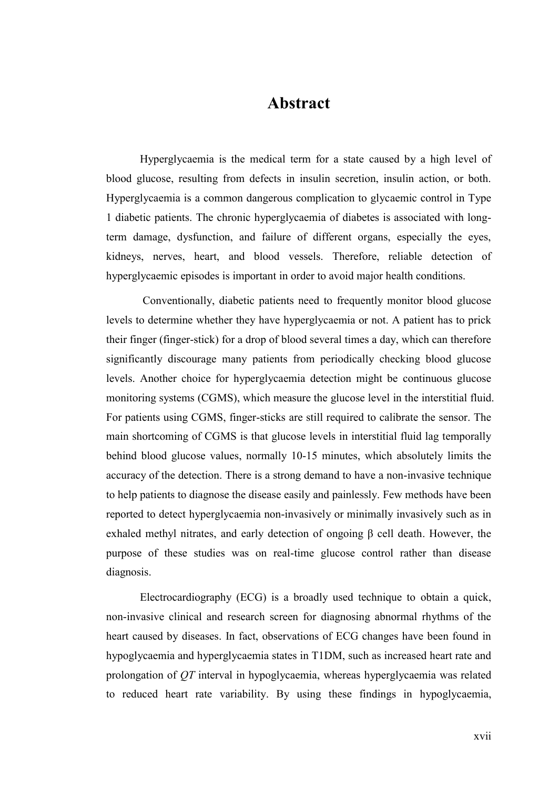#### **Abstract**

Hyperglycaemia is the medical term for a state caused by a high level of blood glucose, resulting from defects in insulin secretion, insulin action, or both. Hyperglycaemia is a common dangerous complication to glycaemic control in Type 1 diabetic patients. The chronic hyperglycaemia of diabetes is associated with longterm damage, dysfunction, and failure of different organs, especially the eyes, kidneys, nerves, heart, and blood vessels. Therefore, reliable detection of hyperglycaemic episodes is important in order to avoid major health conditions.

 Conventionally, diabetic patients need to frequently monitor blood glucose levels to determine whether they have hyperglycaemia or not. A patient has to prick their finger (finger-stick) for a drop of blood several times a day, which can therefore significantly discourage many patients from periodically checking blood glucose levels. Another choice for hyperglycaemia detection might be continuous glucose monitoring systems (CGMS), which measure the glucose level in the interstitial fluid. For patients using CGMS, finger-sticks are still required to calibrate the sensor. The main shortcoming of CGMS is that glucose levels in interstitial fluid lag temporally behind blood glucose values, normally 10-15 minutes, which absolutely limits the accuracy of the detection. There is a strong demand to have a non-invasive technique to help patients to diagnose the disease easily and painlessly. Few methods have been reported to detect hyperglycaemia non-invasively or minimally invasively such as in exhaled methyl nitrates, and early detection of ongoing β cell death. However, the purpose of these studies was on real-time glucose control rather than disease diagnosis.

Electrocardiography (ECG) is a broadly used technique to obtain a quick, non-invasive clinical and research screen for diagnosing abnormal rhythms of the heart caused by diseases. In fact, observations of ECG changes have been found in hypoglycaemia and hyperglycaemia states in T1DM, such as increased heart rate and prolongation of *QT* interval in hypoglycaemia, whereas hyperglycaemia was related to reduced heart rate variability. By using these findings in hypoglycaemia,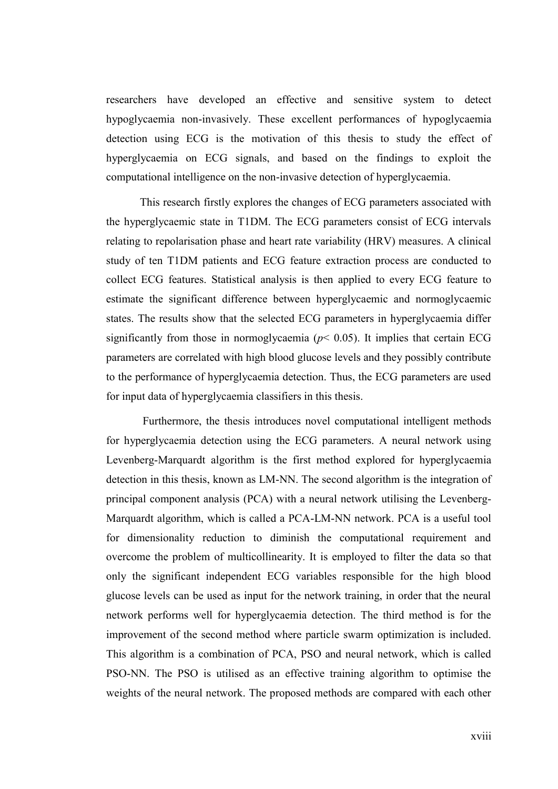researchers have developed an effective and sensitive system to detect hypoglycaemia non-invasively. These excellent performances of hypoglycaemia detection using ECG is the motivation of this thesis to study the effect of hyperglycaemia on ECG signals, and based on the findings to exploit the computational intelligence on the non-invasive detection of hyperglycaemia.

This research firstly explores the changes of ECG parameters associated with the hyperglycaemic state in T1DM. The ECG parameters consist of ECG intervals relating to repolarisation phase and heart rate variability (HRV) measures. A clinical study of ten T1DM patients and ECG feature extraction process are conducted to collect ECG features. Statistical analysis is then applied to every ECG feature to estimate the significant difference between hyperglycaemic and normoglycaemic states. The results show that the selected ECG parameters in hyperglycaemia differ significantly from those in normoglycaemia ( $p$ < 0.05). It implies that certain ECG parameters are correlated with high blood glucose levels and they possibly contribute to the performance of hyperglycaemia detection. Thus, the ECG parameters are used for input data of hyperglycaemia classifiers in this thesis.

 Furthermore, the thesis introduces novel computational intelligent methods for hyperglycaemia detection using the ECG parameters. A neural network using Levenberg-Marquardt algorithm is the first method explored for hyperglycaemia detection in this thesis, known as LM-NN. The second algorithm is the integration of principal component analysis (PCA) with a neural network utilising the Levenberg-Marquardt algorithm, which is called a PCA-LM-NN network. PCA is a useful tool for dimensionality reduction to diminish the computational requirement and overcome the problem of multicollinearity. It is employed to filter the data so that only the significant independent ECG variables responsible for the high blood glucose levels can be used as input for the network training, in order that the neural network performs well for hyperglycaemia detection. The third method is for the improvement of the second method where particle swarm optimization is included. This algorithm is a combination of PCA, PSO and neural network, which is called PSO-NN. The PSO is utilised as an effective training algorithm to optimise the weights of the neural network. The proposed methods are compared with each other